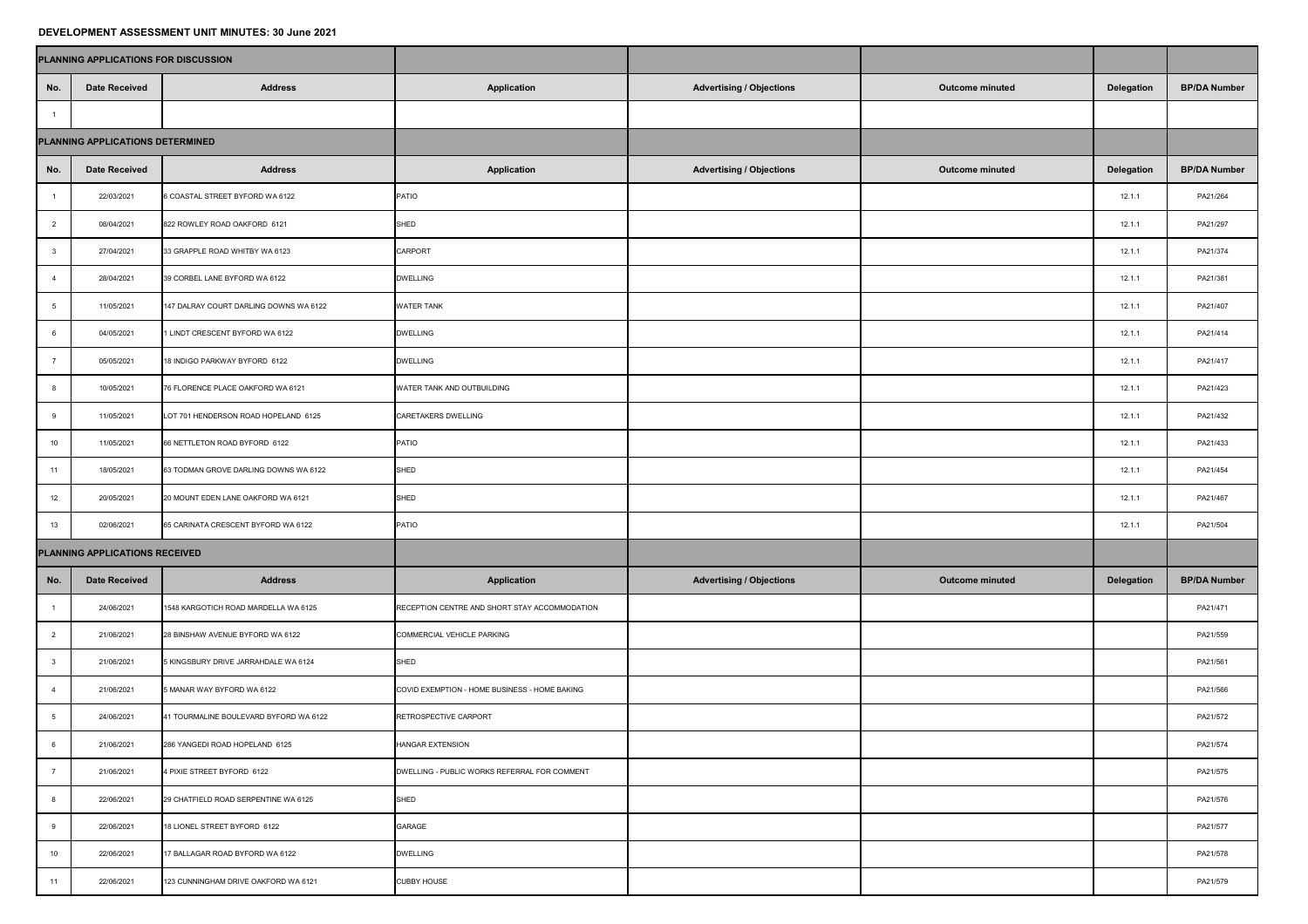## **DEVELOPMENT ASSESSMENT UNIT MINUTES: 30 June 2021**

|                                  | PLANNING APPLICATIONS FOR DISCUSSION |                                        |                                               |                                 |                        |                   |                     |
|----------------------------------|--------------------------------------|----------------------------------------|-----------------------------------------------|---------------------------------|------------------------|-------------------|---------------------|
| No.                              | <b>Date Received</b>                 | <b>Address</b>                         | <b>Application</b>                            | <b>Advertising / Objections</b> | <b>Outcome minuted</b> | <b>Delegation</b> | <b>BP/DA Number</b> |
|                                  |                                      |                                        |                                               |                                 |                        |                   |                     |
| PLANNING APPLICATIONS DETERMINED |                                      |                                        |                                               |                                 |                        |                   |                     |
| No.                              | <b>Date Received</b>                 | <b>Address</b>                         | <b>Application</b>                            | <b>Advertising / Objections</b> | <b>Outcome minuted</b> | <b>Delegation</b> | <b>BP/DA Number</b> |
|                                  | 22/03/2021                           | 6 COASTAL STREET BYFORD WA 6122        | <b>PATIO</b>                                  |                                 |                        | 12.1.1            | PA21/264            |
|                                  | 08/04/2021                           | 822 ROWLEY ROAD OAKFORD 6121           | SHED                                          |                                 |                        | 12.1.1            | PA21/297            |
|                                  | 27/04/2021                           | 33 GRAPPLE ROAD WHITBY WA 6123         | <b>CARPORT</b>                                |                                 |                        | 12.1.1            | PA21/374            |
|                                  | 28/04/2021                           | 39 CORBEL LANE BYFORD WA 6122          | <b>DWELLING</b>                               |                                 |                        | 12.1.1            | PA21/381            |
|                                  | 11/05/2021                           | 147 DALRAY COURT DARLING DOWNS WA 6122 | <b>WATER TANK</b>                             |                                 |                        | 12.1.1            | PA21/407            |
|                                  | 04/05/2021                           | 1 LINDT CRESCENT BYFORD WA 6122        | <b>DWELLING</b>                               |                                 |                        | 12.1.1            | PA21/414            |
|                                  | 05/05/2021                           | 18 INDIGO PARKWAY BYFORD 6122          | <b>DWELLING</b>                               |                                 |                        | 12.1.1            | PA21/417            |
|                                  | 10/05/2021                           | 76 FLORENCE PLACE OAKFORD WA 6121      | <b>WATER TANK AND OUTBUILDING</b>             |                                 |                        | 12.1.1            | PA21/423            |
|                                  | 11/05/2021                           | LOT 701 HENDERSON ROAD HOPELAND 6125   | <b>CARETAKERS DWELLING</b>                    |                                 |                        | 12.1.1            | PA21/432            |
| 10                               | 11/05/2021                           | 66 NETTLETON ROAD BYFORD 6122          | PATIO                                         |                                 |                        | 12.1.1            | PA21/433            |
| 11                               | 18/05/2021                           | 63 TODMAN GROVE DARLING DOWNS WA 6122  | SHED                                          |                                 |                        | 12.1.1            | PA21/454            |
| 12                               | 20/05/2021                           | 20 MOUNT EDEN LANE OAKFORD WA 6121     | SHED                                          |                                 |                        | 12.1.1            | PA21/467            |
| 13                               | 02/06/2021                           | 65 CARINATA CRESCENT BYFORD WA 6122    | PATIO                                         |                                 |                        | 12.1.1            | PA21/504            |
|                                  | PLANNING APPLICATIONS RECEIVED       |                                        |                                               |                                 |                        |                   |                     |
| No.                              | <b>Date Received</b>                 | <b>Address</b>                         | <b>Application</b>                            | <b>Advertising / Objections</b> | <b>Outcome minuted</b> | <b>Delegation</b> | <b>BP/DA Number</b> |
|                                  | 24/06/2021                           | 1548 KARGOTICH ROAD MARDELLA WA 6125   | RECEPTION CENTRE AND SHORT STAY ACCOMMODATION |                                 |                        |                   | PA21/471            |
|                                  | 21/06/2021                           | 28 BINSHAW AVENUE BYFORD WA 6122       | COMMERCIAL VEHICLE PARKING                    |                                 |                        |                   | PA21/559            |
|                                  | 21/06/2021                           | 5 KINGSBURY DRIVE JARRAHDALE WA 6124   | SHED                                          |                                 |                        |                   | PA21/561            |
|                                  | 21/06/2021                           | 5 MANAR WAY BYFORD WA 6122             | COVID EXEMPTION - HOME BUSINESS - HOME BAKING |                                 |                        |                   | PA21/566            |
|                                  | 24/06/2021                           | 41 TOURMALINE BOULEVARD BYFORD WA 6122 | RETROSPECTIVE CARPORT                         |                                 |                        |                   | PA21/572            |
|                                  | 21/06/2021                           | 286 YANGEDI ROAD HOPELAND 6125         | HANGAR EXTENSION                              |                                 |                        |                   | PA21/574            |
|                                  | 21/06/2021                           | 4 PIXIE STREET BYFORD 6122             | DWELLING - PUBLIC WORKS REFERRAL FOR COMMENT  |                                 |                        |                   | PA21/575            |
|                                  | 22/06/2021                           | 29 CHATFIELD ROAD SERPENTINE WA 6125   | SHED                                          |                                 |                        |                   | PA21/576            |
|                                  | 22/06/2021                           | 18 LIONEL STREET BYFORD 6122           | <b>GARAGE</b>                                 |                                 |                        |                   | PA21/577            |
| 10                               | 22/06/2021                           | 17 BALLAGAR ROAD BYFORD WA 6122        | <b>DWELLING</b>                               |                                 |                        |                   | PA21/578            |
| 11                               | 22/06/2021                           | 123 CUNNINGHAM DRIVE OAKFORD WA 6121   | <b>CUBBY HOUSE</b>                            |                                 |                        |                   | PA21/579            |